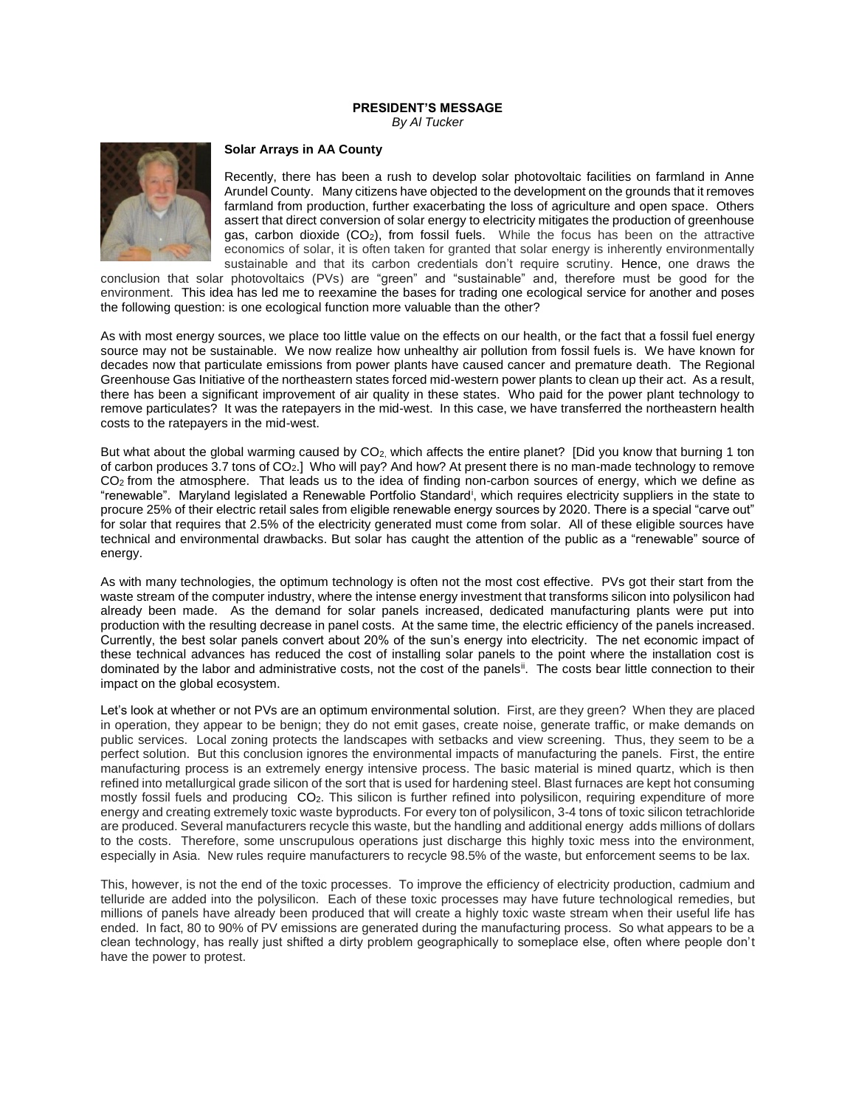## **PRESIDENT'S MESSAGE** *By Al Tucker*



## **Solar Arrays in AA County**

Recently, there has been a rush to develop solar photovoltaic facilities on farmland in Anne Arundel County. Many citizens have objected to the development on the grounds that it removes farmland from production, further exacerbating the loss of agriculture and open space. Others assert that direct conversion of solar energy to electricity mitigates the production of greenhouse gas, carbon dioxide  $(CO_2)$ , from fossil fuels. While the focus has been on the attractive economics of solar, it is often taken for granted that solar energy is inherently environmentally sustainable and that its carbon credentials don't require scrutiny. Hence, one draws the

conclusion that solar photovoltaics (PVs) are "green" and "sustainable" and, therefore must be good for the environment. This idea has led me to reexamine the bases for trading one ecological service for another and poses the following question: is one ecological function more valuable than the other?

As with most energy sources, we place too little value on the effects on our health, or the fact that a fossil fuel energy source may not be sustainable. We now realize how unhealthy air pollution from fossil fuels is. We have known for decades now that particulate emissions from power plants have caused cancer and premature death. The Regional Greenhouse Gas Initiative of the northeastern states forced mid-western power plants to clean up their act. As a result, there has been a significant improvement of air quality in these states. Who paid for the power plant technology to remove particulates? It was the ratepayers in the mid-west. In this case, we have transferred the northeastern health costs to the ratepayers in the mid-west.

But what about the global warming caused by CO<sub>2</sub>, which affects the entire planet? [Did you know that burning 1 ton of carbon produces 3.7 tons of CO2.] Who will pay? And how? At present there is no man-made technology to remove CO<sub>2</sub> from the atmosphere. That leads us to the idea of finding non-carbon sources of energy, which we define as "renewable". Maryland legislated a Renewable Portfolio Standard<sup>i</sup>, which requires electricity suppliers in the state to procure 25% of their electric retail sales from eligible renewable energy sources by 2020. There is a special "carve out" for solar that requires that 2.5% of the electricity generated must come from solar. All of these eligible sources have technical and environmental drawbacks. But solar has caught the attention of the public as a "renewable" source of energy.

As with many technologies, the optimum technology is often not the most cost effective. PVs got their start from the waste stream of the computer industry, where the intense energy investment that transforms silicon into polysilicon had already been made. As the demand for solar panels increased, dedicated manufacturing plants were put into production with the resulting decrease in panel costs. At the same time, the electric efficiency of the panels increased. Currently, the best solar panels convert about 20% of the sun's energy into electricity. The net economic impact of these technical advances has reduced the cost of installing solar panels to the point where the installation cost is dominated by the labor and administrative costs, not the cost of the panels<sup>ii</sup>. The costs bear little connection to their impact on the global ecosystem.

Let's look at whether or not PVs are an optimum environmental solution. First, are they green? When they are placed in operation, they appear to be benign; they do not emit gases, create noise, generate traffic, or make demands on public services. Local zoning protects the landscapes with setbacks and view screening. Thus, they seem to be a perfect solution. But this conclusion ignores the environmental impacts of manufacturing the panels. First, the entire manufacturing process is an extremely energy intensive process. The basic material is mined quartz, which is then refined into metallurgical grade silicon of the sort that is used for hardening steel. Blast furnaces are kept hot consuming mostly fossil fuels and producing CO<sub>2</sub>. This silicon is further refined into polysilicon, requiring expenditure of more energy and creating extremely toxic waste byproducts. For every ton of polysilicon, 3-4 tons of toxic silicon tetrachloride are produced. Several manufacturers recycle this waste, but the handling and additional energy adds millions of dollars to the costs. Therefore, some unscrupulous operations just discharge this highly toxic mess into the environment, especially in Asia. New rules require manufacturers to recycle 98.5% of the waste, but enforcement seems to be lax.

This, however, is not the end of the toxic processes. To improve the efficiency of electricity production, cadmium and telluride are added into the polysilicon. Each of these toxic processes may have future technological remedies, but millions of panels have already been produced that will create a highly toxic waste stream when their useful life has ended. In fact, 80 to 90% of PV emissions are generated during the manufacturing process. So what appears to be a clean technology, has really just shifted a dirty problem geographically to someplace else, often where people don't have the power to protest.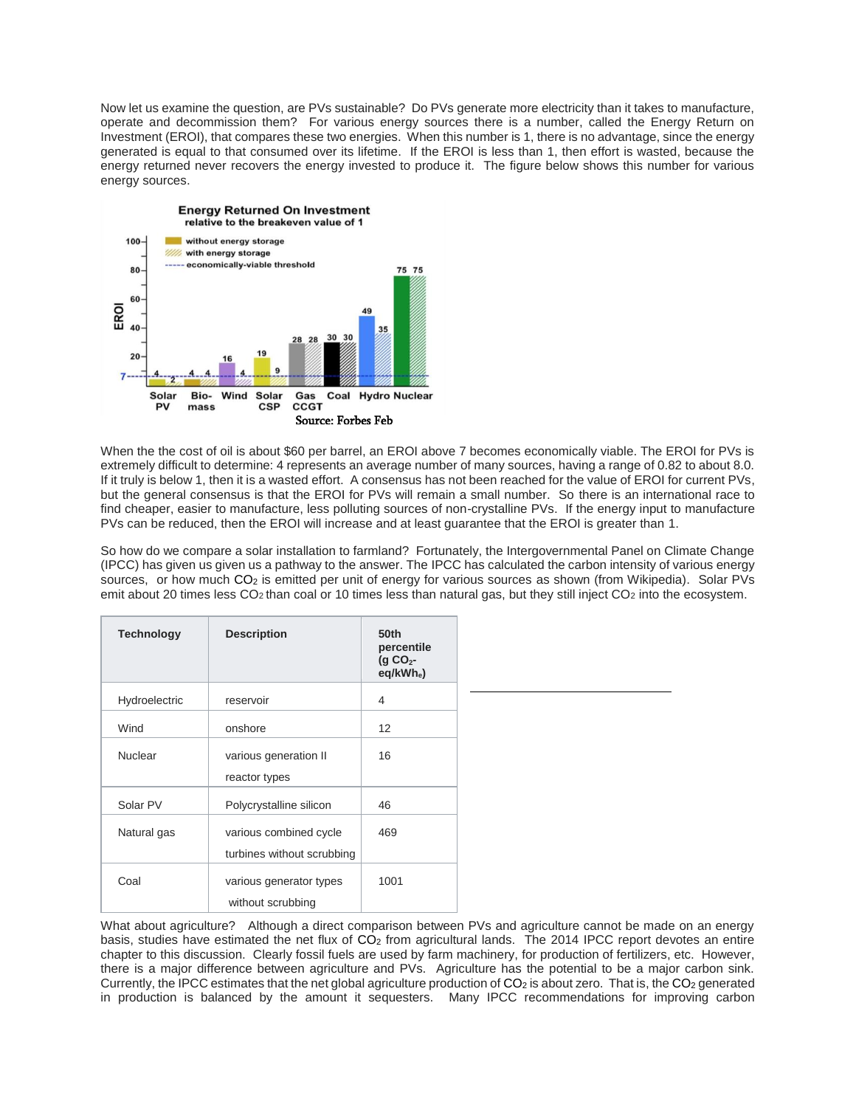Now let us examine the question, are PVs sustainable? Do PVs generate more electricity than it takes to manufacture, operate and decommission them? For various energy sources there is a number, called the Energy Return on Investment (EROI), that compares these two energies. When this number is 1, there is no advantage, since the energy generated is equal to that consumed over its lifetime. If the EROI is less than 1, then effort is wasted, because the energy returned never recovers the energy invested to produce it. The figure below shows this number for various energy sources.



When the the cost of oil is about \$60 per barrel, an EROI above 7 becomes economically viable. The EROI for PVs is extremely difficult to determine: 4 represents an average number of many sources, having a range of 0.82 to about 8.0. If it truly is below 1, then it is a wasted effort. A consensus has not been reached for the value of EROI for current PVs, but the general consensus is that the EROI for PVs will remain a small number. So there is an international race to find cheaper, easier to manufacture, less polluting sources of non-crystalline PVs. If the energy input to manufacture PVs can be reduced, then the EROI will increase and at least guarantee that the EROI is greater than 1.

So how do we compare a solar installation to farmland? Fortunately, the Intergovernmental Panel on Climate Change (IPCC) has given us given us a pathway to the answer. The IPCC has calculated the carbon intensity of various energy sources, or how much CO<sub>2</sub> is emitted per unit of energy for various sources as shown (from Wikipedia). Solar PVs emit about 20 times less  $CO<sub>2</sub>$  than coal or 10 times less than natural gas, but they still inject  $CO<sub>2</sub>$  into the ecosystem.

| <b>Technology</b> | <b>Description</b>                                   | 50th<br>percentile<br>(g CO <sub>2</sub><br>$eq/kWhe$ ) |
|-------------------|------------------------------------------------------|---------------------------------------------------------|
| Hydroelectric     | reservoir                                            | $\overline{4}$                                          |
| Wind              | onshore                                              | $12 \overline{ }$                                       |
| Nuclear           | various generation II<br>reactor types               | 16                                                      |
| Solar PV          | Polycrystalline silicon                              | 46                                                      |
| Natural gas       | various combined cycle<br>turbines without scrubbing | 469                                                     |
| Coal              | various generator types<br>without scrubbing         | 1001                                                    |

What about agriculture? Although a direct comparison between PVs and agriculture cannot be made on an energy basis, studies have estimated the net flux of CO<sub>2</sub> from agricultural lands. The 2014 IPCC report devotes an entire chapter to this discussion. Clearly fossil fuels are used by farm machinery, for production of fertilizers, etc. However, there is a major difference between agriculture and PVs. Agriculture has the potential to be a major carbon sink. Currently, the IPCC estimates that the net global agriculture production of  $CO<sub>2</sub>$  is about zero. That is, the  $CO<sub>2</sub>$  generated in production is balanced by the amount it sequesters. Many IPCC recommendations for improving carbon